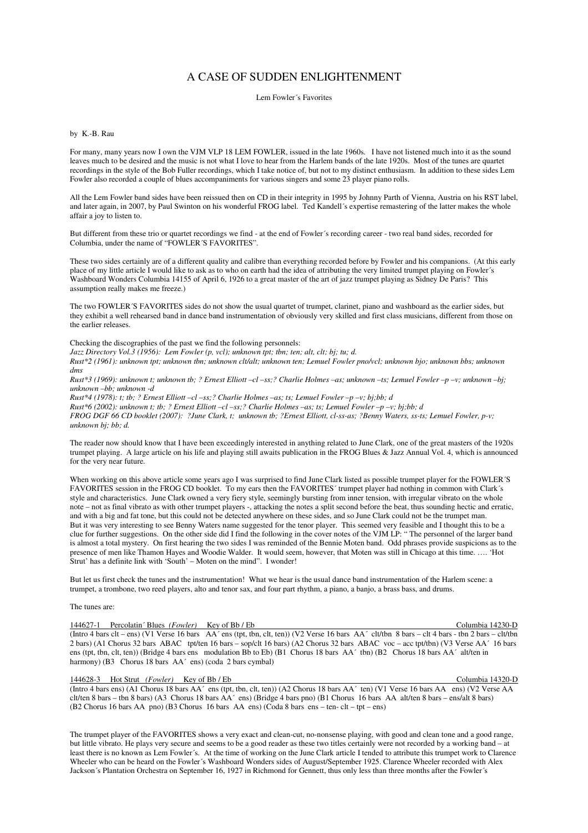# A CASE OF SUDDEN ENLIGHTENMENT

Lem Fowler´s Favorites

# by K.-B. Rau

For many, many years now I own the VJM VLP 18 LEM FOWLER, issued in the late 1960s. I have not listened much into it as the sound leaves much to be desired and the music is not what I love to hear from the Harlem bands of the late 1920s. Most of the tunes are quartet recordings in the style of the Bob Fuller recordings, which I take notice of, but not to my distinct enthusiasm. In addition to these sides Lem Fowler also recorded a couple of blues accompaniments for various singers and some 23 player piano rolls.

All the Lem Fowler band sides have been reissued then on CD in their integrity in 1995 by Johnny Parth of Vienna, Austria on his RST label, and later again, in 2007, by Paul Swinton on his wonderful FROG label. Ted Kandell´s expertise remastering of the latter makes the whole affair a joy to listen to.

But different from these trio or quartet recordings we find - at the end of Fowler´s recording career - two real band sides, recorded for Columbia, under the name of "FOWLER´S FAVORITES".

These two sides certainly are of a different quality and calibre than everything recorded before by Fowler and his companions. (At this early place of my little article I would like to ask as to who on earth had the idea of attributing the very limited trumpet playing on Fowler´s Washboard Wonders Columbia 14155 of April 6, 1926 to a great master of the art of jazz trumpet playing as Sidney De Paris? This assumption really makes me freeze.)

The two FOWLER´S FAVORITES sides do not show the usual quartet of trumpet, clarinet, piano and washboard as the earlier sides, but they exhibit a well rehearsed band in dance band instrumentation of obviously very skilled and first class musicians, different from those on the earlier releases.

# Checking the discographies of the past we find the following personnels:

*Jazz Directory Vol.3 (1956): Lem Fowler (p, vcl); unknown tpt; tbn; ten; alt, clt; bj; tu; d.* 

*Rust\*2 (1961): unknown tpt; unknown tbn; unknown clt/alt; unknown ten; Lemuel Fowler pno/vcl; unknown bjo; unknown bbs; unknown dms* 

*Rust\*3 (1969): unknown t; unknown tb; ? Ernest Elliott –cl –ss;? Charlie Holmes –as; unknown –ts; Lemuel Fowler –p –v; unknown –bj; unknown –bb; unknown -d* 

*Rust\*4 (1978): t; tb; ? Ernest Elliott –cl –ss;? Charlie Holmes –as; ts; Lemuel Fowler –p –v; bj;bb; d Rust\*6 (2002): unknown t; tb; ? Ernest Elliott –cl –ss;? Charlie Holmes –as; ts; Lemuel Fowler –p –v; bj;bb; d FROG DGF 66 CD booklet (2007): ?June Clark, t; unknown tb; ?Ernest Elliott, cl-ss-as; ?Benny Waters, ss-ts; Lemuel Fowler, p-v; unknown bj; bb; d.* 

The reader now should know that I have been exceedingly interested in anything related to June Clark, one of the great masters of the 1920s trumpet playing. A large article on his life and playing still awaits publication in the FROG Blues & Jazz Annual Vol. 4, which is announced for the very near future.

When working on this above article some years ago I was surprised to find June Clark listed as possible trumpet player for the FOWLER´S FAVORITES session in the FROG CD booklet. To my ears then the FAVORITES´ trumpet player had nothing in common with Clark´s style and characteristics. June Clark owned a very fiery style, seemingly bursting from inner tension, with irregular vibrato on the whole note – not as final vibrato as with other trumpet players -, attacking the notes a split second before the beat, thus sounding hectic and erratic, and with a big and fat tone, but this could not be detected anywhere on these sides, and so June Clark could not be the trumpet man. But it was very interesting to see Benny Waters name suggested for the tenor player. This seemed very feasible and I thought this to be a clue for further suggestions. On the other side did I find the following in the cover notes of the VJM LP: " The personnel of the larger band is almost a total mystery. On first hearing the two sides I was reminded of the Bennie Moten band. Odd phrases provide suspicions as to the presence of men like Thamon Hayes and Woodie Walder. It would seem, however, that Moten was still in Chicago at this time. …. 'Hot Strut' has a definite link with 'South' – Moten on the mind". I wonder!

But let us first check the tunes and the instrumentation! What we hear is the usual dance band instrumentation of the Harlem scene: a trumpet, a trombone, two reed players, alto and tenor sax, and four part rhythm, a piano, a banjo, a brass bass, and drums.

#### The tunes are:

# 144627-1 Percolatin´ Blues *(Fowler)* Key of Bb / Eb Columbia 14230-D

(Intro 4 bars clt – ens) (V1 Verse 16 bars AA´ ens (tpt, tbn, clt, ten)) (V2 Verse 16 bars AA´ clt/tbn 8 bars – clt 4 bars - tbn 2 bars – clt/tbn 2 bars) (A1 Chorus 32 bars ABAC tpt/ten 16 bars – sop/clt 16 bars) (A2 Chorus 32 bars ABAC voc – acc tpt/tbn) (V3 Verse AA´ 16 bars ens (tpt, tbn, clt, ten)) (Bridge 4 bars ens modulation Bb to Eb) (B1 Chorus 18 bars AA´ tbn) (B2 Chorus 18 bars AA´ alt/ten in harmony) (B3 Chorus 18 bars AA<sup> $\cdot$ </sup> ens) (coda 2 bars cymbal)

### 144628-3 Hot Strut *(Fowler)* Key of Bb / Eb Columbia 14320-D

(Intro 4 bars ens) (A1 Chorus 18 bars AA´ ens (tpt, tbn, clt, ten)) (A2 Chorus 18 bars AA´ ten) (V1 Verse 16 bars AA ens) (V2 Verse AA clt/ten 8 bars – tbn 8 bars) (A3 Chorus 18 bars AA´ ens) (Bridge 4 bars pno) (B1 Chorus 16 bars AA alt/ten 8 bars – ens/alt 8 bars) (B2 Chorus 16 bars AA pno) (B3 Chorus 16 bars AA ens) (Coda 8 bars ens – ten- clt – tpt – ens)

The trumpet player of the FAVORITES shows a very exact and clean-cut, no-nonsense playing, with good and clean tone and a good range, but little vibrato. He plays very secure and seems to be a good reader as these two titles certainly were not recorded by a working band – at least there is no known as Lem Fowler´s. At the time of working on the June Clark article I tended to attribute this trumpet work to Clarence Wheeler who can be heard on the Fowler´s Washboard Wonders sides of August/September 1925. Clarence Wheeler recorded with Alex Jackson´s Plantation Orchestra on September 16, 1927 in Richmond for Gennett, thus only less than three months after the Fowler´s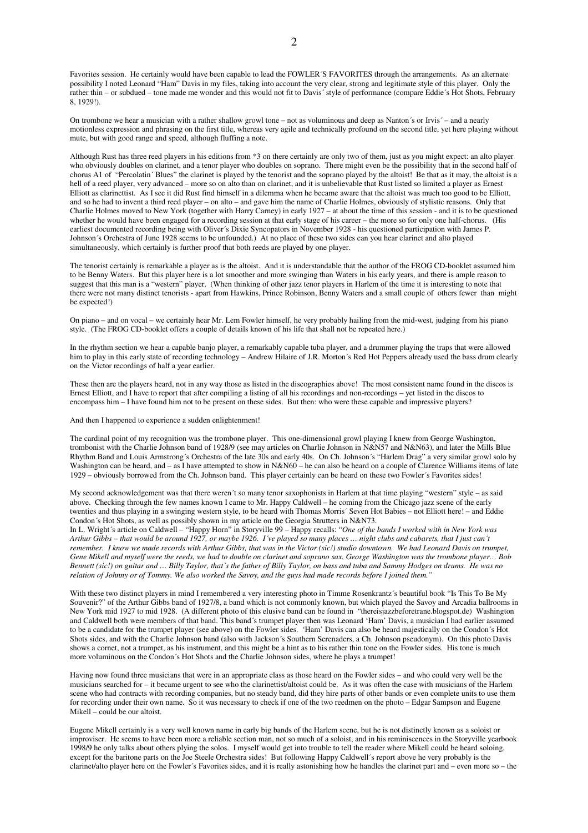Favorites session. He certainly would have been capable to lead the FOWLER´S FAVORITES through the arrangements. As an alternate possibility I noted Leonard "Ham" Davis in my files, taking into account the very clear, strong and legitimate style of this player. Only the rather thin – or subdued – tone made me wonder and this would not fit to Davis´ style of performance (compare Eddie´s Hot Shots, February 8, 1929!).

On trombone we hear a musician with a rather shallow growl tone – not as voluminous and deep as Nanton´s or Irvis´ – and a nearly motionless expression and phrasing on the first title, whereas very agile and technically profound on the second title, yet here playing without mute, but with good range and speed, although fluffing a note.

Although Rust has three reed players in his editions from \*3 on there certainly are only two of them, just as you might expect: an alto player who obviously doubles on clarinet, and a tenor player who doubles on soprano. There might even be the possibility that in the second half of chorus A1 of "Percolatin' Blues" the clarinet is played by the tenorist and the soprano played by the altoist! Be that as it may, the altoist is a hell of a reed player, very advanced – more so on alto than on clarinet, and it is unbelievable that Rust listed so limited a player as Ernest Elliott as clarinettist. As I see it did Rust find himself in a dilemma when he became aware that the altoist was much too good to be Elliott, and so he had to invent a third reed player – on alto – and gave him the name of Charlie Holmes, obviously of stylistic reasons. Only that Charlie Holmes moved to New York (together with Harry Carney) in early 1927 – at about the time of this session - and it is to be questioned whether he would have been engaged for a recording session at that early stage of his career – the more so for only one half-chorus. (His earliest documented recording being with Oliver´s Dixie Syncopators in November 1928 - his questioned participation with James P. Johnson´s Orchestra of June 1928 seems to be unfounded.) At no place of these two sides can you hear clarinet and alto played simultaneously, which certainly is further proof that both reeds are played by one player.

The tenorist certainly is remarkable a player as is the altoist. And it is understandable that the author of the FROG CD-booklet assumed him to be Benny Waters. But this player here is a lot smoother and more swinging than Waters in his early years, and there is ample reason to suggest that this man is a "western" player. (When thinking of other jazz tenor players in Harlem of the time it is interesting to note that there were not many distinct tenorists - apart from Hawkins, Prince Robinson, Benny Waters and a small couple of others fewer than might be expected!)

On piano – and on vocal – we certainly hear Mr. Lem Fowler himself, he very probably hailing from the mid-west, judging from his piano style. (The FROG CD-booklet offers a couple of details known of his life that shall not be repeated here.)

In the rhythm section we hear a capable banjo player, a remarkably capable tuba player, and a drummer playing the traps that were allowed him to play in this early state of recording technology – Andrew Hilaire of J.R. Morton's Red Hot Peppers already used the bass drum clearly on the Victor recordings of half a year earlier.

These then are the players heard, not in any way those as listed in the discographies above! The most consistent name found in the discos is Ernest Elliott, and I have to report that after compiling a listing of all his recordings and non-recordings – yet listed in the discos to encompass him – I have found him not to be present on these sides. But then: who were these capable and impressive players?

And then I happened to experience a sudden enlightenment!

The cardinal point of my recognition was the trombone player. This one-dimensional growl playing I knew from George Washington, trombonist with the Charlie Johnson band of 1928/9 (see may articles on Charlie Johnson in N&N57 and N&N63), and later the Mills Blue Rhythm Band and Louis Armstrong´s Orchestra of the late 30s and early 40s. On Ch. Johnson´s "Harlem Drag" a very similar growl solo by Washington can be heard, and – as I have attempted to show in N&N60 – he can also be heard on a couple of Clarence Williams items of late 1929 – obviously borrowed from the Ch. Johnson band. This player certainly can be heard on these two Fowler´s Favorites sides!

My second acknowledgement was that there weren´t so many tenor saxophonists in Harlem at that time playing "western" style – as said above. Checking through the few names known I came to Mr. Happy Caldwell – he coming from the Chicago jazz scene of the early twenties and thus playing in a swinging western style, to be heard with Thomas Morris´ Seven Hot Babies – not Elliott here! – and Eddie Condon's Hot Shots, as well as possibly shown in my article on the Georgia Strutters in N&N73.

In L. Wright´s article on Caldwell – "Happy Horn" in Storyville 99 – Happy recalls: "*One of the bands I worked with in New York was Arthur Gibbs – that would be around 1927, or maybe 1926. I´ve played so many places … night clubs and cabarets, that I just can´t remember. I know we made records with Arthur Gibbs, that was in the Victor (sic!) studio downtown. We had Leonard Davis on trumpet, Gene Mikell and myself were the reeds, we had to double on clarinet and soprano sax. George Washington was the trombone player… Bob Bennett (sic!) on guitar and … Billy Taylor, that´s the father of Billy Taylor, on bass and tuba and Sammy Hodges on drums. He was no relation of Johnny or of Tommy. We also worked the Savoy, and the guys had made records before I joined them."* 

With these two distinct players in mind I remembered a very interesting photo in Timme Rosenkrantz´s beautiful book "Is This To Be My Souvenir?" of the Arthur Gibbs band of 1927/8, a band which is not commonly known, but which played the Savoy and Arcadia ballrooms in New York mid 1927 to mid 1928. (A different photo of this elusive band can be found in "thereisjazzbeforetrane.blogspot.de) Washington and Caldwell both were members of that band. This band´s trumpet player then was Leonard 'Ham' Davis, a musician I had earlier assumed to be a candidate for the trumpet player (see above) on the Fowler sides. 'Ham' Davis can also be heard majestically on the Condon´s Hot Shots sides, and with the Charlie Johnson band (also with Jackson´s Southern Serenaders, a Ch. Johnson pseudonym). On this photo Davis shows a cornet, not a trumpet, as his instrument, and this might be a hint as to his rather thin tone on the Fowler sides. His tone is much more voluminous on the Condon´s Hot Shots and the Charlie Johnson sides, where he plays a trumpet!

Having now found three musicians that were in an appropriate class as those heard on the Fowler sides – and who could very well be the musicians searched for – it became urgent to see who the clarinettist/altoist could be. As it was often the case with musicians of the Harlem scene who had contracts with recording companies, but no steady band, did they hire parts of other bands or even complete units to use them for recording under their own name. So it was necessary to check if one of the two reedmen on the photo – Edgar Sampson and Eugene Mikell – could be our altoist.

Eugene Mikell certainly is a very well known name in early big bands of the Harlem scene, but he is not distinctly known as a soloist or improviser. He seems to have been more a reliable section man, not so much of a soloist, and in his reminiscences in the Storyville yearbook 1998/9 he only talks about others plying the solos. I myself would get into trouble to tell the reader where Mikell could be heard soloing, except for the baritone parts on the Joe Steele Orchestra sides! But following Happy Caldwell´s report above he very probably is the clarinet/alto player here on the Fowler's Favorites sides, and it is really astonishing how he handles the clarinet part and – even more so – the